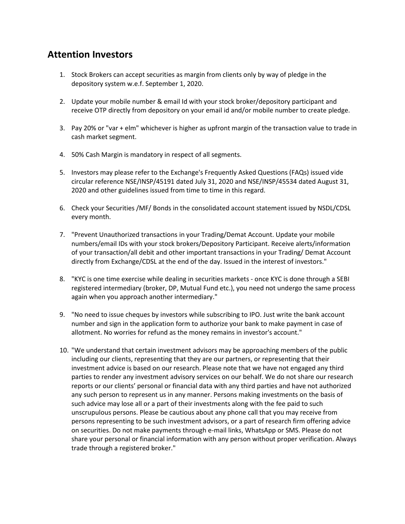## **Attention Investors**

- 1. Stock Brokers can accept securities as margin from clients only by way of pledge in the depository system w.e.f. September 1, 2020.
- 2. Update your mobile number & email Id with your stock broker/depository participant and receive OTP directly from depository on your email id and/or mobile number to create pledge.
- 3. Pay 20% or "var + elm" whichever is higher as upfront margin of the transaction value to trade in cash market segment.
- 4. 50% Cash Margin is mandatory in respect of all segments.
- 5. Investors may please refer to the Exchange's Frequently Asked Questions (FAQs) issued vide circular reference NSE/INSP/45191 dated July 31, 2020 and NSE/INSP/45534 dated August 31, 2020 and other guidelines issued from time to time in this regard.
- 6. Check your Securities /MF/ Bonds in the consolidated account statement issued by NSDL/CDSL every month.
- 7. "Prevent Unauthorized transactions in your Trading/Demat Account. Update your mobile numbers/email IDs with your stock brokers/Depository Participant. Receive alerts/information of your transaction/all debit and other important transactions in your Trading/ Demat Account directly from Exchange/CDSL at the end of the day. Issued in the interest of investors."
- 8. "KYC is one time exercise while dealing in securities markets once KYC is done through a SEBI registered intermediary (broker, DP, Mutual Fund etc.), you need not undergo the same process again when you approach another intermediary."
- 9. "No need to issue cheques by investors while subscribing to IPO. Just write the bank account number and sign in the application form to authorize your bank to make payment in case of allotment. No worries for refund as the money remains in investor's account."
- 10. "We understand that certain investment advisors may be approaching members of the public including our clients, representing that they are our partners, or representing that their investment advice is based on our research. Please note that we have not engaged any third parties to render any investment advisory services on our behalf. We do not share our research reports or our clients' personal or financial data with any third parties and have not authorized any such person to represent us in any manner. Persons making investments on the basis of such advice may lose all or a part of their investments along with the fee paid to such unscrupulous persons. Please be cautious about any phone call that you may receive from persons representing to be such investment advisors, or a part of research firm offering advice on securities. Do not make payments through e-mail links, WhatsApp or SMS. Please do not share your personal or financial information with any person without proper verification. Always trade through a registered broker."